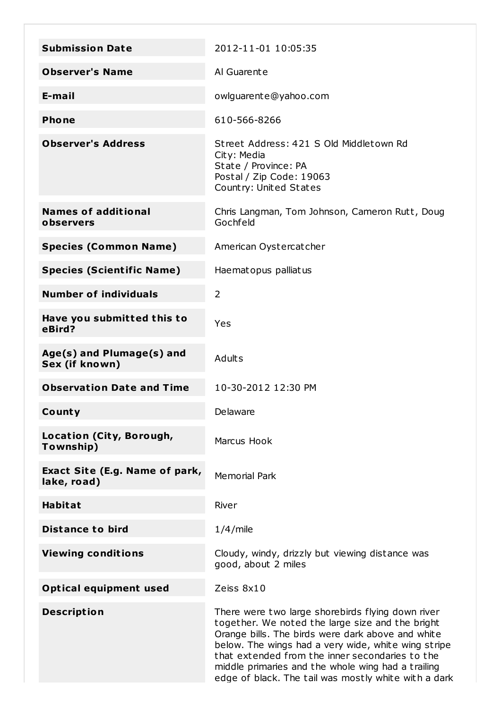| <b>Submission Date</b>                        | 2012-11-01 10:05:35                                                                                                                                                                                                                                                                                                                                                                |
|-----------------------------------------------|------------------------------------------------------------------------------------------------------------------------------------------------------------------------------------------------------------------------------------------------------------------------------------------------------------------------------------------------------------------------------------|
| <b>Observer's Name</b>                        | Al Guarente                                                                                                                                                                                                                                                                                                                                                                        |
| E-mail                                        | owlguarente@yahoo.com                                                                                                                                                                                                                                                                                                                                                              |
| <b>Phone</b>                                  | 610-566-8266                                                                                                                                                                                                                                                                                                                                                                       |
| <b>Observer's Address</b>                     | Street Address: 421 S Old Middletown Rd<br>City: Media<br>State / Province: PA<br>Postal / Zip Code: 19063<br>Country: United States                                                                                                                                                                                                                                               |
| <b>Names of additional</b><br>observers       | Chris Langman, Tom Johnson, Cameron Rutt, Doug<br>Gochfeld                                                                                                                                                                                                                                                                                                                         |
| <b>Species (Common Name)</b>                  | American Oystercatcher                                                                                                                                                                                                                                                                                                                                                             |
| <b>Species (Scientific Name)</b>              | Haematopus palliatus                                                                                                                                                                                                                                                                                                                                                               |
| <b>Number of individuals</b>                  | 2                                                                                                                                                                                                                                                                                                                                                                                  |
| Have you submitted this to<br>eBird?          | Yes                                                                                                                                                                                                                                                                                                                                                                                |
| Age(s) and Plumage(s) and<br>Sex (if known)   | <b>Adults</b>                                                                                                                                                                                                                                                                                                                                                                      |
| <b>Observation Date and Time</b>              | 10-30-2012 12:30 PM                                                                                                                                                                                                                                                                                                                                                                |
| County                                        | Delaware                                                                                                                                                                                                                                                                                                                                                                           |
| Location (City, Borough,<br>Township)         | Marcus Hook                                                                                                                                                                                                                                                                                                                                                                        |
| Exact Site (E.g. Name of park,<br>lake, road) | <b>Memorial Park</b>                                                                                                                                                                                                                                                                                                                                                               |
| <b>Habitat</b>                                | River                                                                                                                                                                                                                                                                                                                                                                              |
| <b>Distance to bird</b>                       | $1/4$ /mile                                                                                                                                                                                                                                                                                                                                                                        |
| <b>Viewing conditions</b>                     | Cloudy, windy, drizzly but viewing distance was<br>good, about 2 miles                                                                                                                                                                                                                                                                                                             |
| <b>Optical equipment used</b>                 | Zeiss 8x10                                                                                                                                                                                                                                                                                                                                                                         |
| <b>Description</b>                            | There were two large shorebirds flying down river<br>together. We noted the large size and the bright<br>Orange bills. The birds were dark above and white<br>below. The wings had a very wide, white wing stripe<br>that extended from the inner secondaries to the<br>middle primaries and the whole wing had a trailing<br>edge of black. The tail was mostly white with a dark |